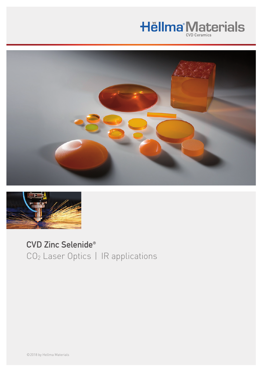## **Hëllma<sup>®</sup>Materials**



## CVD Zinc Selenide® CO2 Laser Optics | IR applications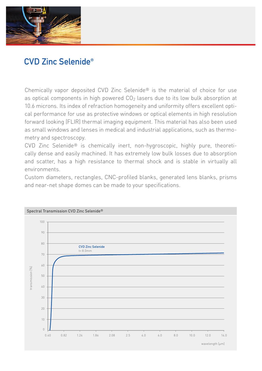

## **CVD Zinc Selenide®**

Chemically vapor deposited CVD Zinc Selenide® is the material of choice for use as optical components in high powered  $CO<sub>2</sub>$  lasers due to its low bulk absorption at 10.6 microns. Its index of refraction homogeneity and uniformity offers excellent optical performance for use as protective windows or optical elements in high resolution forward looking (FLIR) thermal imaging equipment. This material has also been used as small windows and lenses in medical and industrial applications, such as thermometry and spectroscopy.

CVD Zinc Selenide® is chemically inert, non-hygroscopic, highly pure, theoretically dense and easily machined. It has extremely low bulk losses due to absorption and scatter, has a high resistance to thermal shock and is stable in virtually all environments.

Custom diameters, rectangles, CNC-profiled blanks, generated lens blanks, prisms and near-net shape domes can be made to your specifications.

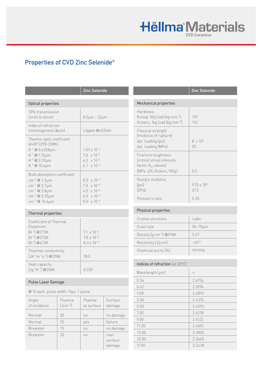# **Hëllma Materials**

## Properties of CVD Zinc Selenide®

|                                                                                                                                                                                 |                         | <b>Zinc Selenide</b>                                                                                                 |                           |  |
|---------------------------------------------------------------------------------------------------------------------------------------------------------------------------------|-------------------------|----------------------------------------------------------------------------------------------------------------------|---------------------------|--|
| <b>Optical properties</b>                                                                                                                                                       |                         |                                                                                                                      |                           |  |
| 10% transmission<br>limits (t=6mm)                                                                                                                                              |                         | $0.5 \mu m - 22 \mu m$                                                                                               |                           |  |
| Index of refraction<br>inhomogeneity $(\Delta n/n)$                                                                                                                             |                         | <3ppm@633nm                                                                                                          |                           |  |
| Thermo-optic coefficient<br>dn/dT (298-358K)<br>K-1 @ 0.6328µm<br>$K^{-1}$ @ 1.15 $\mu$ m<br>$K^{-1}$ @ 3.39 $\mu$ m<br>$K^{-1}$ @ 10.6µm                                       |                         | $1.07 \times 10^{-4}$<br>$7.0 \times 10^{-5}$<br>$6.2 \times 10^{-5}$<br>6.1 $\times$ 10 <sup>-5</sup>               |                           |  |
| Bulk absorption coefficient<br>cm <sup>-1</sup> @ 1.3 $\mu$ m<br>cm <sup>-1</sup> @ 2.7 $\mu$ m<br>cm $^{-1}$ @ 3.8µm<br>cm <sup>-1</sup> @ 5.25µm<br>cm <sup>-1</sup> @ 10.6µm |                         | $5.0 \times 10^{-3}$<br>$7.0 \times 10^{-4}$<br>$4.0 \times 10^{-4}$<br>$4.0 \times 10^{-4}$<br>$5.0 \times 10^{-4}$ |                           |  |
| <b>Thermal properties</b>                                                                                                                                                       |                         |                                                                                                                      |                           |  |
| Coefficient of Thermal<br>Expansion<br>$[K^{-1}]$ @273K<br>$[K^{-1}] @ 373K$<br>$[K^{-1}] @ 473K$                                                                               |                         | $7.1 \times 10^{-6}$<br>$7.8 \times 10^{-6}$<br>$8.3 \times 10^{-6}$                                                 |                           |  |
| Thermal conductivity<br>$[JK^{-1}m^{-1}s^{-1}]$ @298K                                                                                                                           |                         | 18.0                                                                                                                 |                           |  |
| Heat capacity<br>$[Jq^{-1}K^{-1}]$ @298K                                                                                                                                        |                         | 0.339                                                                                                                |                           |  |
| <b>Pulse Laser Damage</b>                                                                                                                                                       |                         |                                                                                                                      |                           |  |
| @10.6µm, pulse width 15µs, 1 pulse                                                                                                                                              |                         |                                                                                                                      |                           |  |
| Angle<br>of incidence                                                                                                                                                           | Fluence<br>$[Jcm^{-2}]$ | Plasma<br>at surface                                                                                                 | Surface<br>damage         |  |
| Normal                                                                                                                                                                          | 20                      | no                                                                                                                   | no damage                 |  |
| Normal                                                                                                                                                                          | 25                      | yes                                                                                                                  | failure                   |  |
| Brewster                                                                                                                                                                        | 15                      | no                                                                                                                   | no damage                 |  |
| Brewster                                                                                                                                                                        | 20                      | no                                                                                                                   | rear<br>surface<br>damage |  |

|                                                                                                                         | <b>Zinc Selenide</b>        |  |  |
|-------------------------------------------------------------------------------------------------------------------------|-----------------------------|--|--|
| <b>Mechanical properties</b>                                                                                            |                             |  |  |
| Hardness <sup>.</sup><br>Knoop, 50g load [kg mm-2]<br>Vickers, 1kg load [kg mm-2]                                       | 110<br>112                  |  |  |
| Flexural strength<br>(modulus of rupture)<br>4pt. loading [psi]<br>4pt. loading [MPa]                                   | $8 \times 10^{3}$<br>55     |  |  |
| Fracture toughness<br>(critical stress intensity<br>factor, K <sub>IC</sub> values)<br>[MPa $\sqrt{m}$ , Vickers, 100q] | 0.5                         |  |  |
| Young's modulus<br>[psi]<br><b>[GPa]</b>                                                                                | $975 \times 10^{6}$<br>67.2 |  |  |
| Poisson's ratio                                                                                                         | 0.28                        |  |  |
| <b>Physical properties</b>                                                                                              |                             |  |  |
| Crystal structure                                                                                                       | cubic                       |  |  |
| Grain size                                                                                                              | $50 - 70 \mu m$             |  |  |
| Density $[g cm^{-3}]$ @298K                                                                                             | 5.27                        |  |  |
| Resistivity [ $\Omega$ cm]                                                                                              | $-10^{12}$                  |  |  |
| Chemical purity [%]                                                                                                     | 999996                      |  |  |
|                                                                                                                         |                             |  |  |

#### Indices of refraction [at 20°C]

| Wavelength [µm] | n      |
|-----------------|--------|
| 0.54            | 2.6754 |
| 0.62            | 2.5994 |
| 1.00            | 2.4892 |
| 3.00            | 2.4376 |
| 5.00            | 2.4295 |
| 7.00            | 2.4218 |
| 9.00            | 2.4122 |
| 11.00           | 2.4001 |
| 13.00           | 2.3850 |
| 15.00           | 2.3665 |
| 17.00           | 2.3438 |